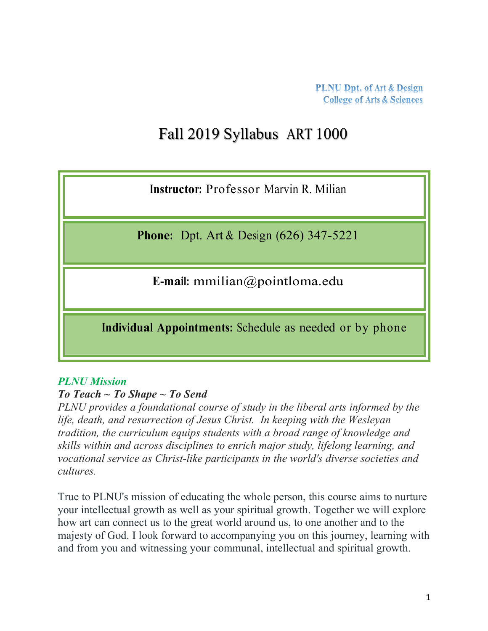# Fall 2019 Syllabus ART 1000

**Instructor:** Professor Marvin R. Milian

**Phone:** Dpt. Art & Design (626) 347-5221

**E-mail:** mmilian@pointloma.edu

**Individual Appointments:** Schedule as needed or by phone

#### *PLNU Mission*

## *To Teach ~ To Shape ~ To Send*

*PLNU provides a foundational course of study in the liberal arts informed by the life, death, and resurrection of Jesus Christ. In keeping with the Wesleyan tradition, the curriculum equips students with a broad range of knowledge and skills within and across disciplines to enrich major study, lifelong learning, and vocational service as Christ-like participants in the world's diverse societies and cultures.*

True to PLNU's mission of educating the whole person, this course aims to nurture your intellectual growth as well as your spiritual growth. Together we will explore how art can connect us to the great world around us, to one another and to the majesty of God. I look forward to accompanying you on this journey, learning with and from you and witnessing your communal, intellectual and spiritual growth.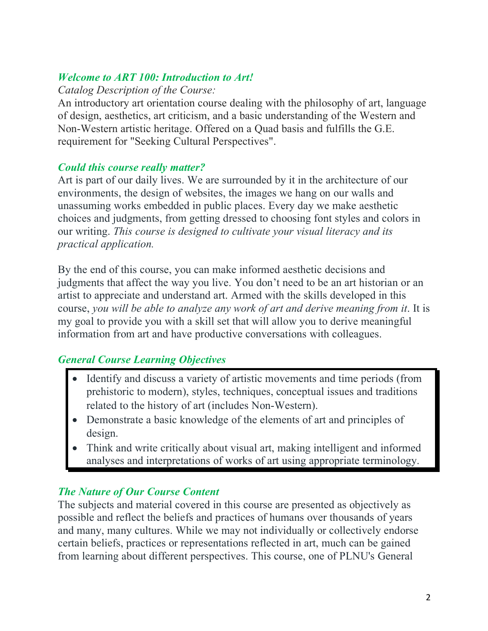## *Welcome to ART 100: Introduction to Art!*

#### *Catalog Description of the Course:*

An introductory art orientation course dealing with the philosophy of art, language of design, aesthetics, art criticism, and a basic understanding of the Western and Non-Western artistic heritage. Offered on a Quad basis and fulfills the G.E. requirement for "Seeking Cultural Perspectives".

## *Could this course really matter?*

Art is part of our daily lives. We are surrounded by it in the architecture of our environments, the design of websites, the images we hang on our walls and unassuming works embedded in public places. Every day we make aesthetic choices and judgments, from getting dressed to choosing font styles and colors in our writing. *This course is designed to cultivate your visual literacy and its practical application.*

By the end of this course, you can make informed aesthetic decisions and judgments that affect the way you live. You don't need to be an art historian or an artist to appreciate and understand art. Armed with the skills developed in this course, *you will be able to analyze any work of art and derive meaning from it*. It is my goal to provide you with a skill set that will allow you to derive meaningful information from art and have productive conversations with colleagues.

# *General Course Learning Objectives*

- Identify and discuss a variety of artistic movements and time periods (from prehistoric to modern), styles, techniques, conceptual issues and traditions related to the history of art (includes Non-Western).
- Demonstrate a basic knowledge of the elements of art and principles of design.
- Think and write critically about visual art, making intelligent and informed analyses and interpretations of works of art using appropriate terminology.

# *The Nature of Our Course Content*

The subjects and material covered in this course are presented as objectively as possible and reflect the beliefs and practices of humans over thousands of years and many, many cultures. While we may not individually or collectively endorse certain beliefs, practices or representations reflected in art, much can be gained from learning about different perspectives. This course, one of PLNU's General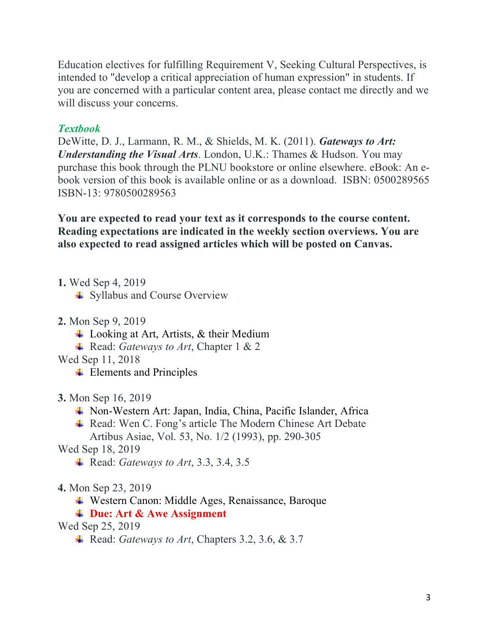Education electives for fulfilling Requirement V, Seeking Cultural Perspectives, is intended to "develop a critical appreciation of human expression" in students. If you are concerned with a particular content area, please contact me directly and we will discuss your concerns.

#### *Textbook*

DeWitte, D. J., Larmann, R. M., & Shields, M. K. (2011). *Gateways to Art: Understanding the Visual Arts*. London, U.K.: Thames & Hudson. You may purchase this book through the PLNU bookstore or online elsewhere. eBook: An ebook version of this book is available online or as a download. ISBN: 0500289565 ISBN-13: 9780500289563

**You are expected to read your text as it corresponds to the course content. Reading expectations are indicated in the weekly section overviews. You are also expected to read assigned articles which will be posted on Canvas.**

**1.** Wed Sep 4, 2019

**↓** Syllabus and Course Overview

- **2.** Mon Sep 9, 2019
	- $\overline{\phantom{a}}$  Looking at Art, Artists, & their Medium
	- **Example 3** Read: *Gateways to Art*, Chapter 1 & 2
- Wed Sep 11, 2018
	- $\overline{\phantom{a}}$  Elements and Principles
- **3.** Mon Sep 16, 2019
	- Non-Western Art: Japan, India, China, Pacific Islander, Africa
	- Read: Wen C. Fong's article The Modern Chinese Art Debate Artibus Asiae, Vol. 53, No. 1/2 (1993), pp. 290-305

Wed Sep 18, 2019

- Read: *Gateways to Art*, 3.3, 3.4, 3.5
- **4.** Mon Sep 23, 2019
	- Western Canon: Middle Ages, Renaissance, Baroque

## **Due: Art & Awe Assignment**

#### Wed Sep 25, 2019

Read: *Gateways to Art*, Chapters 3.2, 3.6, & 3.7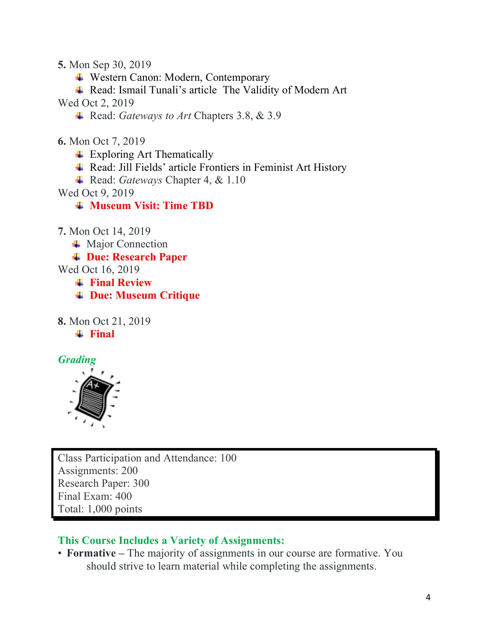**5.** Mon Sep 30, 2019

Western Canon: Modern, Contemporary

**↓ Read: Ismail Tunali's article The Validity of Modern Art** 

Wed Oct 2, 2019

Read: *Gateways to Art* Chapters 3.8, & 3.9

**6.** Mon Oct 7, 2019

Exploring Art Thematically

 $\triangleq$  Read: Jill Fields' article Frontiers in Feminist Art History

Read: *Gateways* Chapter 4, & 1.10

Wed Oct 9, 2019

**Museum Visit: Time TBD**

**7.** Mon Oct 14, 2019

 $\blacksquare$  Major Connection

**Due: Research Paper**

Wed Oct 16, 2019

**Final Review**

**Due: Museum Critique**

**8.** Mon Oct 21, 2019 **Final**

*Grading*



Class Participation and Attendance: 100 Assignments: 200 Research Paper: 300 Final Exam: 400 Total: 1,000 points

# **This Course Includes a Variety of Assignments:**

• **Formative –** The majority of assignments in our course are formative. You should strive to learn material while completing the assignments.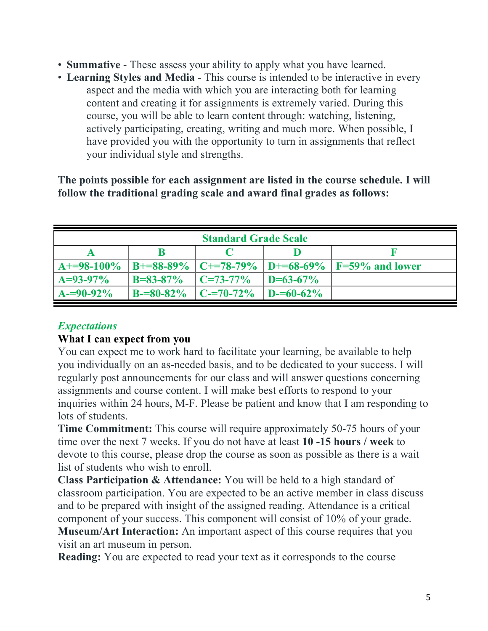- **Summative** These assess your ability to apply what you have learned.
- **Learning Styles and Media**  This course is intended to be interactive in every aspect and the media with which you are interacting both for learning content and creating it for assignments is extremely varied. During this course, you will be able to learn content through: watching, listening, actively participating, creating, writing and much more. When possible, I have provided you with the opportunity to turn in assignments that reflect your individual style and strengths.

**The points possible for each assignment are listed in the course schedule. I will follow the traditional grading scale and award final grades as follows:**

| <b>Standard Grade Scale</b> |                 |                 |                 |                               |
|-----------------------------|-----------------|-----------------|-----------------|-------------------------------|
|                             |                 |                 |                 |                               |
| $A+=98-100\%$               | $B = 88 - 89\%$ | $C = 78-79%$    |                 | $ D=68-69\% F=59\%$ and lower |
| $A=93-97\%$                 | $B = 83 - 87\%$ | $C = 73 - 77\%$ | $D = 63 - 67\%$ |                               |
| $A=90-92\%$                 | $B = 80 - 82%$  | $C = 70 - 72%$  | $D = 60 - 62\%$ |                               |

# *Expectations*

#### **What I can expect from you**

You can expect me to work hard to facilitate your learning, be available to help you individually on an as-needed basis, and to be dedicated to your success. I will regularly post announcements for our class and will answer questions concerning assignments and course content. I will make best efforts to respond to your inquiries within 24 hours, M-F. Please be patient and know that I am responding to lots of students.

**Time Commitment:** This course will require approximately 50-75 hours of your time over the next 7 weeks. If you do not have at least **10 -15 hours / week** to devote to this course, please drop the course as soon as possible as there is a wait list of students who wish to enroll.

**Class Participation & Attendance:** You will be held to a high standard of classroom participation. You are expected to be an active member in class discuss and to be prepared with insight of the assigned reading. Attendance is a critical component of your success. This component will consist of 10% of your grade. **Museum/Art Interaction:** An important aspect of this course requires that you visit an art museum in person.

**Reading:** You are expected to read your text as it corresponds to the course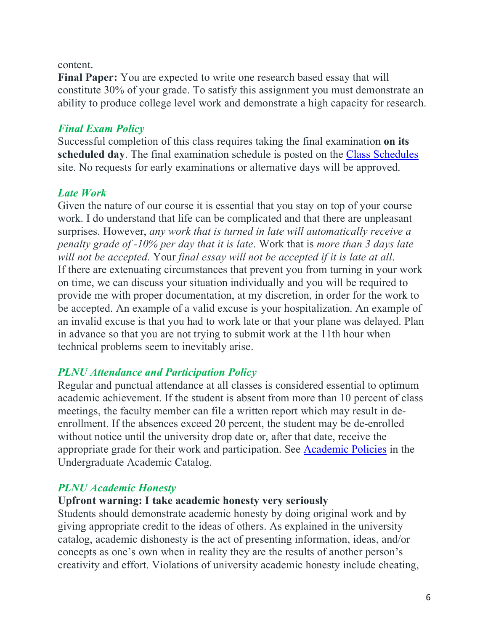#### content.

**Final Paper:** You are expected to write one research based essay that will constitute 30% of your grade. To satisfy this assignment you must demonstrate an ability to produce college level work and demonstrate a high capacity for research.

## *Final Exam Policy*

Successful completion of this class requires taking the final examination **on its scheduled day**. The final examination schedule is posted on the Class Schedules site. No requests for early examinations or alternative days will be approved.

#### *Late Work*

Given the nature of our course it is essential that you stay on top of your course work. I do understand that life can be complicated and that there are unpleasant surprises. However, *any work that is turned in late will automatically receive a penalty grade of -10% per day that it is late*. Work that is *more than 3 days late will not be accepted*. Your *final essay will not be accepted if it is late at all*. If there are extenuating circumstances that prevent you from turning in your work on time, we can discuss your situation individually and you will be required to provide me with proper documentation, at my discretion, in order for the work to be accepted. An example of a valid excuse is your hospitalization. An example of an invalid excuse is that you had to work late or that your plane was delayed. Plan in advance so that you are not trying to submit work at the 11th hour when technical problems seem to inevitably arise.

## *PLNU Attendance and Participation Policy*

Regular and punctual attendance at all classes is considered essential to optimum academic achievement. If the student is absent from more than 10 percent of class meetings, the faculty member can file a written report which may result in deenrollment. If the absences exceed 20 percent, the student may be de-enrolled without notice until the university drop date or, after that date, receive the appropriate grade for their work and participation. See Academic Policies in the Undergraduate Academic Catalog.

## *PLNU Academic Honesty*

#### **Upfront warning: I take academic honesty very seriously**

Students should demonstrate academic honesty by doing original work and by giving appropriate credit to the ideas of others. As explained in the university catalog, academic dishonesty is the act of presenting information, ideas, and/or concepts as one's own when in reality they are the results of another person's creativity and effort. Violations of university academic honesty include cheating,